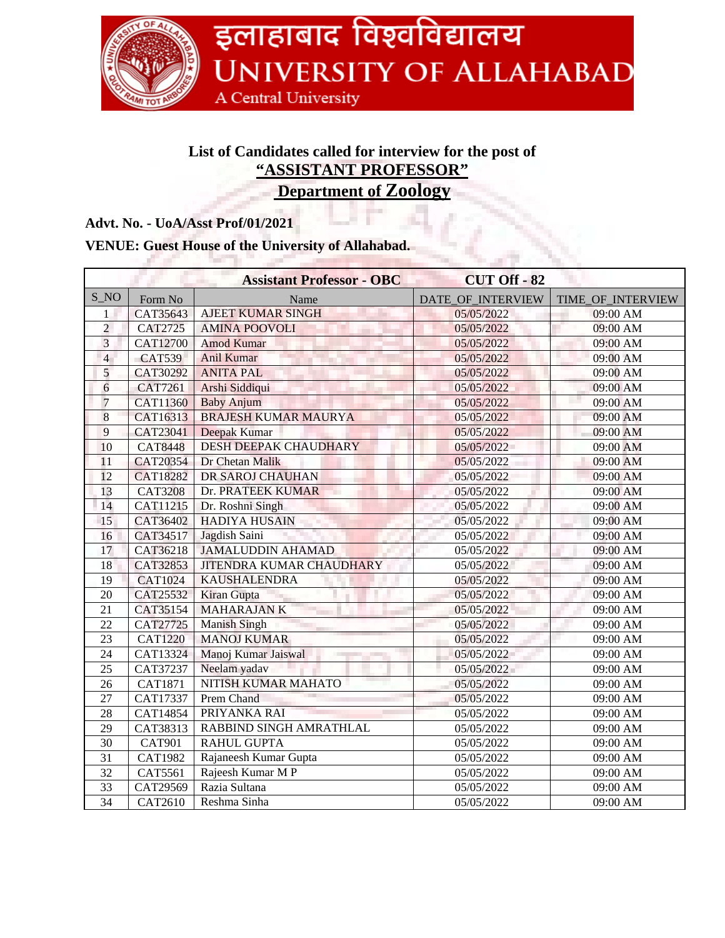

## **List of Candidates called for interview for the post of "ASSISTANT PROFESSOR"**

**Department of Zoology**

## **Advt. No. - UoA/Asst Prof/01/2021**

## **VENUE: Guest House of the University of Allahabad.**

|                 |                       | <b>Assistant Professor - OBC</b> | <b>CUT Off - 82</b> |                   |
|-----------------|-----------------------|----------------------------------|---------------------|-------------------|
| $S_N$           | Form No               | Name                             | DATE OF INTERVIEW   | TIME OF INTERVIEW |
| 1               | CAT35643              | <b>AJEET KUMAR SINGH</b>         | 05/05/2022          | 09:00 AM          |
| $\overline{2}$  | <b>CAT2725</b>        | <b>AMINA POOVOLI</b>             | 05/05/2022          | 09:00 AM          |
| $\overline{3}$  | <b>CAT12700</b>       | <b>Amod Kumar</b>                | 05/05/2022          | 09:00 AM          |
| $\overline{4}$  | <b>CAT539</b>         | <b>Anil Kumar</b>                | 05/05/2022          | 09:00 AM          |
| $\overline{5}$  | CAT30292              | <b>ANITA PAL</b>                 | 05/05/2022          | 09:00 AM          |
| 6               | <b>CAT7261</b>        | Arshi Siddiqui                   | 05/05/2022          | 09:00 AM          |
| $\overline{7}$  | CAT11360              | <b>Baby Anjum</b>                | 05/05/2022          | 09:00 AM          |
| 8               | CAT16313              | <b>BRAJESH KUMAR MAURYA</b>      | 05/05/2022          | 09:00 AM          |
| 9               | CAT23041              | Deepak Kumar                     | 05/05/2022          | 09:00 AM          |
| 10              | <b>CAT8448</b>        | <b>DESH DEEPAK CHAUDHARY</b>     | 05/05/2022          | 09:00 AM          |
| 11              | CAT20354              | Dr Chetan Malik                  | 05/05/2022          | 09:00 AM          |
| 12              | <b>CAT18282</b>       | DR SAROJ CHAUHAN                 | 05/05/2022          | 09:00 AM          |
| 13              | <b>CAT3208</b>        | Dr. PRATEEK KUMAR                | 05/05/2022          | 09:00 AM          |
| 14              | CAT11215              | Dr. Roshni Singh                 | 05/05/2022          | 09:00 AM          |
| 15              | CAT36402              | <b>HADIYA HUSAIN</b>             | 05/05/2022          | 09:00 AM          |
| 16              | CAT34517              | Jagdish Saini                    | 05/05/2022          | 09:00 AM          |
| 17              | CAT36218              | <b>JAMALUDDIN AHAMAD</b>         | 05/05/2022          | 09:00 AM          |
| 18              | CAT32853              | <b>JITENDRA KUMAR CHAUDHARY</b>  | 05/05/2022          | 09:00 AM          |
| 19              | <b>CAT1024</b>        | <b>KAUSHALENDRA</b>              | 05/05/2022          | 09:00 AM          |
| 20              | CAT25532              | Kiran Gupta                      | 05/05/2022          | 09:00 AM          |
| 21              | CAT35154              | <b>MAHARAJANK</b>                | 05/05/2022          | 09:00 AM          |
| 22              | CAT27725              | <b>Manish Singh</b>              | 05/05/2022          | 09:00 AM          |
| 23              | <b>CAT1220</b>        | <b>MANOJ KUMAR</b>               | 05/05/2022          | 09:00 AM          |
| 24              | CAT13324              | Manoj Kumar Jaiswal              | 05/05/2022          | 09:00 AM          |
| 25              | CAT37237              | Neelam yadav                     | 05/05/2022          | 09:00 AM          |
| 26              | <b>CAT1871</b>        | NITISH KUMAR MAHATO              | 05/05/2022          | 09:00 AM          |
| 27              | CAT17337              | <b>Prem Chand</b>                | 05/05/2022          | 09:00 AM          |
| 28              | $\overline{C}AT14854$ | PRIYANKA RAI                     | 05/05/2022          | 09:00 AM          |
| 29              | CAT38313              | RABBIND SINGH AMRATHLAL          | 05/05/2022          | 09:00 AM          |
| 30              | <b>CAT901</b>         | <b>RAHUL GUPTA</b>               | 05/05/2022          | 09:00 AM          |
| 31              | <b>CAT1982</b>        | Rajaneesh Kumar Gupta            | 05/05/2022          | 09:00 AM          |
| $\overline{32}$ | CAT5561               | Rajeesh Kumar M P                | 05/05/2022          | 09:00 AM          |
| $\overline{33}$ | CAT29569              | Razia Sultana                    | 05/05/2022          | 09:00 AM          |
| $\overline{34}$ | <b>CAT2610</b>        | Reshma Sinha                     | 05/05/2022          | 09:00 AM          |